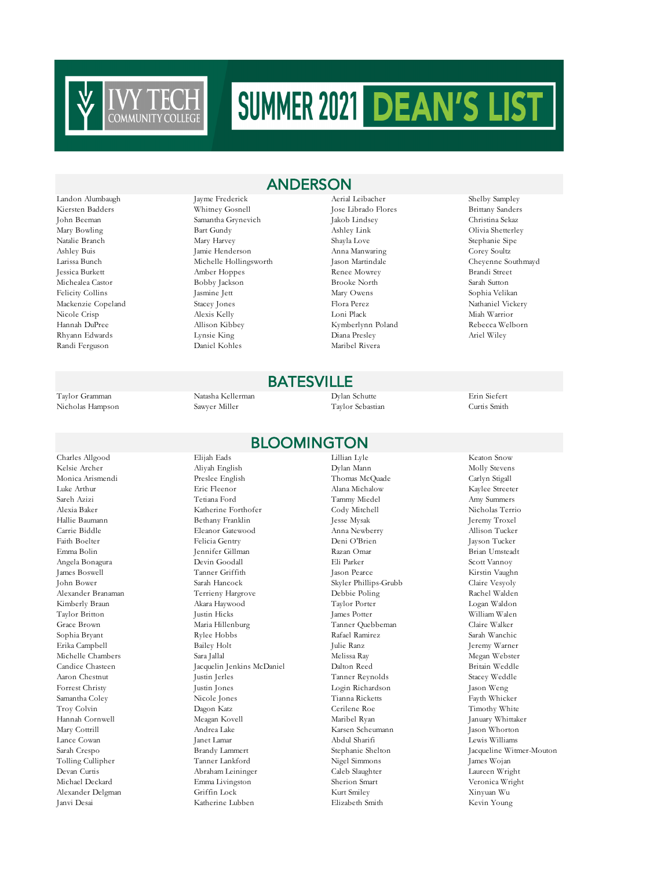

Randi Ferguson Daniel Kohles Maribel Rivera

Landon Alumbaugh Jayme Frederick Aerial Leibacher Shelby Sampley Kiersten Badders Whitney Gosnell Jose Librado Flores Brittany Sanders John Beeman Samantha Grynevich Jakob Lindsey Christina Sekaz Mary Bowling Bart Gundy Ashley Link Olivia Shetterley Natalie Branch Mary Harvey Shayla Love Stephanie Sipe Ashley Buis Jamie Henderson Anna Manwaring Corey Soultz Jessica Burkett Amber Hoppes Renee Mowrey Brandi Street Michealea Castor Bobby Jackson Brooke North Sarah Sutton Felicity Collins Jasmine Jett Mary Owens Sophia Velikan Mackenzie Copeland Stacey Jones Flora Perez Nathaniel Vickery Nicole Crisp Alexis Kelly Loni Plack Miah Warrior Hannah DuPree Allison Kibbey Kymberlynn Poland Rebecca Welborn Rhyann Edwards Lynsie King Diana Presley Ariel Wiley

#### **BATESVILLE**

ANDERSON

#### BLOOMINGTON

Kelsie Archer Aliyah English Dylan Mann Molly Stevens Monica Arismendi Preslee English Thomas McQuade Carlyn Stigall Luke Arthur Eric Fleenor Alana Michalow Kaylee Streeter Sareh Azizi Tetiana Ford Tammy Miedel Amy Summers Alexia Baker Katherine Forthofer Cody Mitchell Nicholas Terrio Bethany Franklin Jesse Mysak Carrie Biddle Eleanor Gatewood Anna Newberry Allison Tucker Faith Boelter Felicia Gentry Deni O'Brien Jayson Tucker Emma Bolin Jennifer Gillman Razan Omar Brian Umsteadt Angela Bonagura Devin Goodall Eli Parker Scott Vannoy James Boswell Tanner Griffith Jason Pearce Kirstin Vaughn John Bower Sarah Hancock Skyler Phillips-Grubb Claire Vesyoly Alexander Branaman Terrieny Hargrove Debbie Poling Rachel Walden Kimberly Braun Akara Haywood Taylor Porter Logan Waldon Taylor Britton Justin Hicks James Potter William Walen Grace Brown Maria Hillenburg Tanner Quebbeman Claire Walker Sophia Bryant Rylee Hobbs Rafael Ramirez Sarah Wanchic Erika Campbell Bailey Holt Julie Ranz Jeremy Warner Michelle Chambers Sara Jallal Melissa Ray Megan Webster Candice Chasteen Jacquelin Jenkins McDaniel Dalton Reed Britain Weddle Aaron Chestnut Justin Jerles Tanner Reynolds Stacey Weddle Forrest Christy Justin Jones Login Richardson Samantha Coley **Nicole Jones** Nicole Jones Tianna Ricketts Fayth Whicker Troy Colvin Dagon Katz Cerilene Roe Timothy White Hannah Cornwell Meagan Kovell Maribel Ryan January Whittaker Mary Cottrill Andrea Lake Karsen Scheumann Jason Whorton Lance Cowan Janet Lamar Abdul Sharifi Lewis Williams Sarah Crespo Brandy Lammert Stephanie Shelton Jacqueline Witmer-Mouton Devan Curtis Abraham Leininger Caleb Slaughter Laureen Wright Michael Deckard Emma Livingston Sherion Smart Veronica Wright Alexander Delgman Griffin Lock Kurt Smiley Xinyuan Wu

Janvi Desai Katherine Lubben Elizabeth Smith Kevin Young

Larissa Bunch Michelle Hollingsworth Jason Martindale Cheyenne Southmayd

Taylor Gramman Natasha Kellerman Dylan Schutte Erin Siefert Nicholas Hampson Sawyer Miller Taylor Sebastian Curtis Smith

Charles Allgood Elijah Eads Lillian Lyle Keaton Snow Tolling Cullipher Tanner Lankford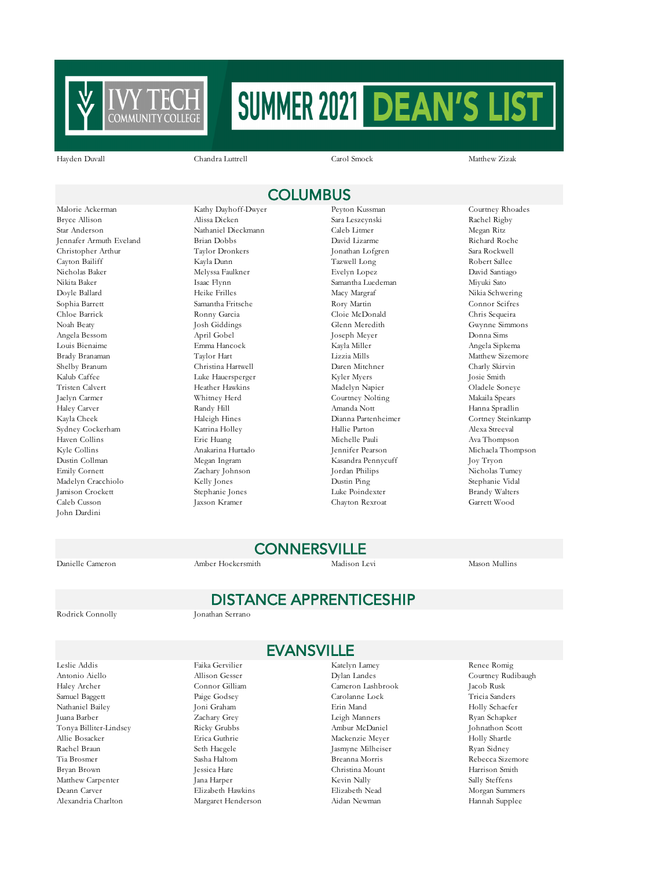

Hayden Duvall Chandra Luttrell Carol Smock Matthew Zizak

## **COLUMBUS**

Bryce Allison Alissa Dicken Sara Leszcynski Rachel Rigby Star Anderson Nathaniel Dieckmann Caleb Litmer Megan Ritz Jennafer Armuth Eveland Christopher Arthur Taylor Dronkers Jonathan Lofgren Sara Rockwell Cayton Bailiff Kayla Dunn Tazwell Long Robert Sallee Nicholas Baker Melyssa Faulkner Evelyn Lopez David Santiago Nikita Baker Isaac Flynn Samantha Luedeman Miyuki Sato Doyle Ballard Heike Frilles Macy Margraf Nikia Schwering Sophia Barrett Samantha Fritsche Rory Martin Rory Martin Connor Scifres<br>Chloe Barrick Ronny Garcia Cloie McDonald Chris Sequeira Noah Beaty Josh Giddings Glenn Meredith Gwynne Simmons Angela Bessom April Gobel Joseph Meyer Donna Sims Louis Bienaime Emma Hancock Kayla Miller Angela Sipkema Shelby Branum Christina Hartwell Daren Mitchner Charly Skirvin Kalub Caffee Luke Hauersperger Kyler Myers Josie Smith Tristen Calvert Heather Hawkins Madelyn Napier Oladele Soneye Haley Carver Randy Hill Amanda Nott Hanna Spradlin Kayla Cheek Haleigh Hines Dianna Partenheimer Cortney Steinkamp Sydney Cockerham Katrina Holley Hallie Parton Alexa Streeval Haven Collins Eric Huang Michelle Pauli Ava Thompson Dustin Collman Megan Ingram Kasandra Pennycuff Joy Tryon Madelyn Cracchiolo Kelly Jones Dustin Ping Stephanie Vidal Jamison Crockett Stephanie Jones Luke Poindexter Caleb Cusson Jaxson Kramer Chayton Rexroat Garrett Wood John Dardini

Malorie Ackerman Kathy Dayhoff-Dwyer Peyton Kussman Courtney Rhoades

Cloie McDonald Taylor Hart Lizzia Mills Matthew Sizemore Whitney Herd Courtney Nolting Makaila Spears Zachary Johnson Jordan Philips Nicholas Tumey

Michaela Thompson

## **CONNERSVILLE**

Danielle Cameron Amber Hockersmith Madison Levi Mason Mullins

Rodrick Connolly Jonathan Serrano

EVANSVILLE

DISTANCE APPRENTICESHIP

Leslie Addis Faika Gervilier Katelyn Lamey Renee Romig Antonio Aiello Allison Gesser Dylan Landes Courtney Rudibaugh Haley Archer Connor Gilliam Cameron Lashbrook Jacob Rusk Samuel Baggett Paige Godsey Carolanne Lock Tricia Sanders Nathaniel Bailey Joni Graham Erin Mand Holly Schaefer Juana Barber Zachary Grey Leigh Manners Ryan Schapker Tonya Billiter-Lindsey Ricky Grubbs Ambur McDaniel Johnathon Scott<br>Allie Bosseker Holly Shartle Holly Shartle Allie Bosacker Erica Guthrie Mackenzie Meyer Holly Shartle Tia Brosmer Sasha Haltom Breanna Morris Rebecca Sizemore Bryan Brown Jessica Hare Christina Mount Harrison Smith Matthew Carpenter Jana Harper Kevin Nally Sally Steffens Deann Carver Elizabeth Hawkins Elizabeth Nead Morgan Summers Alexandria Charlton Margaret Henderson Aidan Newman Hannah Supplee

Seth Haegele Jasmyne Milheiser Ryan Sidney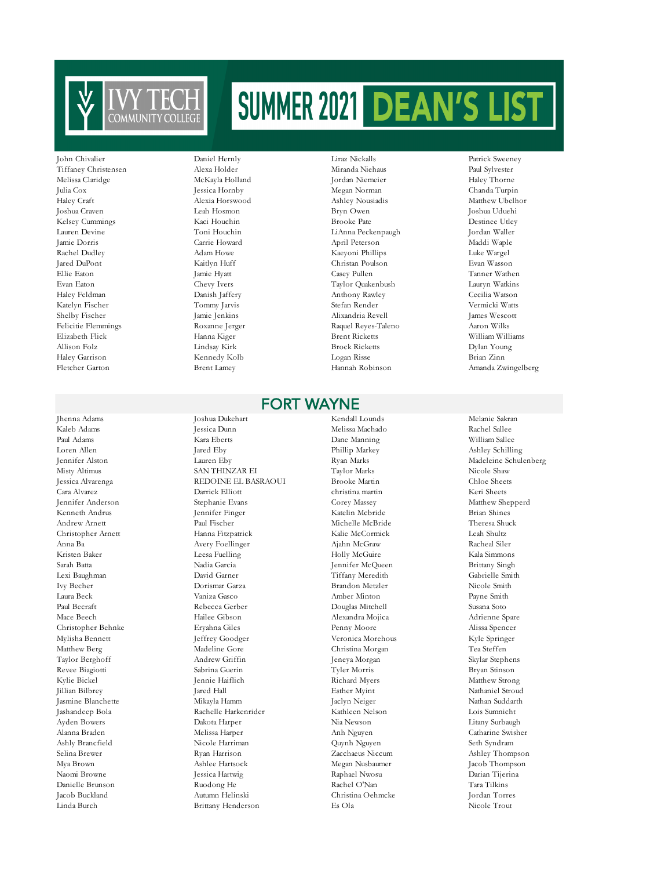

#### Tiffaney Christensen Alexa Holder Miranda Niehaus Paul Sylvester Melissa Claridge McKayla Holland Jordan Niemeier Haley Thorne Julia Cox Jessica Hornby Megan Norman Chanda Turpin Haley Craft Alexia Horswood Ashley Nousiadis Matthew Ubelhor Joshua Craven Leah Hosmon Bryn Owen Joshua Uduehi Kelsey Cummings Kaci Houchin Brooke Pate Brooke Pate Destinee Utley Lauren Devine Toni Houchin LiAnna Peckenpaugh Jordan Waller April Peterson Maddi Waple Rachel Dudley Adam Howe Adam Howe Kaeyoni Phillips Luke Wargel Jared DuPont Kaitlyn Huff Christan Poulson Evan Wasson Ellie Eaton Jamie Hyatt Casey Pullen Tanner Wathen Evan Eaton Chevy Ivers Taylor Quakenbush Lauryn Watkins Haley Feldman Danish Jaffery Anthony Rawley Cecilia Watson Katelyn Fischer Tommy Jarvis Stefan Render Vermicki Watts Shelby Fischer James Wescott Jamie Jenkins Alixandria Revell James Wescott James Wescott James Wescott James Wescott Adam James Wescott Department of the James Wescott Department of the James Wescott Department of the Unit Felicitie Flemmings Roxanne Jerger Raquel Reyes-Taleno Elizabeth Flick Hanna Kiger Brent Ricketts William Williams Allison Folz Lindsay Kirk Brock Ricketts Dylan Young Haley Garrison Kennedy Kolb Logan Risse Brian Zinn Fletcher Garton Brent Lamey Hannah Robinson Amanda Zwingelberg

#### FORT WAYNE

Kaleb Adams Jessica Dunn Melissa Machado Rachel Sallee Paul Adams Kara Eberts Dane Manning William Sallee Loren Allen Jared Eby Phillip Markey Ashley Schilling Jennifer Alston Lauren Eby Ryan Marks Madeleine Schulenberg Misty Altimus SAN THINZAR EI Taylor Marks Nicole Shaw Jessica Alvarenga REDOINE EL BASRAOUI Brooke Martin Chloe Sheets Cara Alvarez Darrick Elliott christina martin Keri Sheets Jennifer Anderson Stephanie Evans Corey Massey Matthew Shepperd Kenneth Andrus Jennifer Finger Katelin Mcbride Brian Shines Andrew Arnett Paul Fischer Michelle McBride Theresa Shuck Christopher Arnett Hanna Fitzpatrick Kalie McCormick Leah Shultz Anna Ba Avery Foellinger Ajahn McGraw Racheal Siler Kristen Baker Leesa Fuelling Holly McGuire Kala Simmons Sarah Batta Nadia Garcia Jennifer McQueen Brittany Singh Lexi Baughman David Garner Tiffany Meredith Gabrielle Smith Laura Beck Vaniza Gasco Amber Minton Payne Smith Paul Becraft Rebecca Gerber Douglas Mitchell Susana Soto Mace Beech Hailee Gibson Alexandra Mojica Adrienne Spare Christopher Behnke Eryahna Giles Penny Moore Alissa Spencer Mylisha Bennett Jeffrey Goodger Veronica Morehous Kyle Springer Matthew Berg Madeline Gore Christina Morgan Tea Steffen Taylor Berghoff Andrew Griffin Jeneya Morgan Skylar Stephens Revee Biagiotti Sabrina Guerin Tyler Morris Bryan Stinson Kylie Bickel Jennie Haiflich Richard Myers Matthew Strong Jillian Bilbrey Jared Hall Esther Myint Nathaniel Stroud Jasmine Blanchette Mikayla Hamm Jaclyn Neiger Nathan Suddarth Jashandeep Bola Rachelle Harkenrider Kathleen Nelson Lois Sumnicht Ayden Bowers Dakota Harper Nia Newson Litany Surbaugh Alanna Braden Melissa Harper Anh Nguyen Catharine Swisher Ashly Brancfield Nicole Harriman Quynh Nguyen Seth Syndram Selina Brewer Ryan Harrison Zacchaeus Niccum Ashley Thompson Mya Brown Ashlee Hartsock Megan Nusbaumer Jacob Thompson Naomi Browne Jessica Hartwig Raphael Nwosu Darian Tijerina Danielle Brunson Ruodong He Rachel O'Nan Tara Tilkins Jacob Buckland Autumn Helinski Christina Oehmcke Jordan Torres

Jhenna Adams Joshua Dukehart Kendall Lounds Melanie Sakran Brandon Metzler Linda Burch Brittany Henderson Es Ola Nicole Trout

John Chivalier Daniel Hernly Liraz Nickalls Patrick Sweeney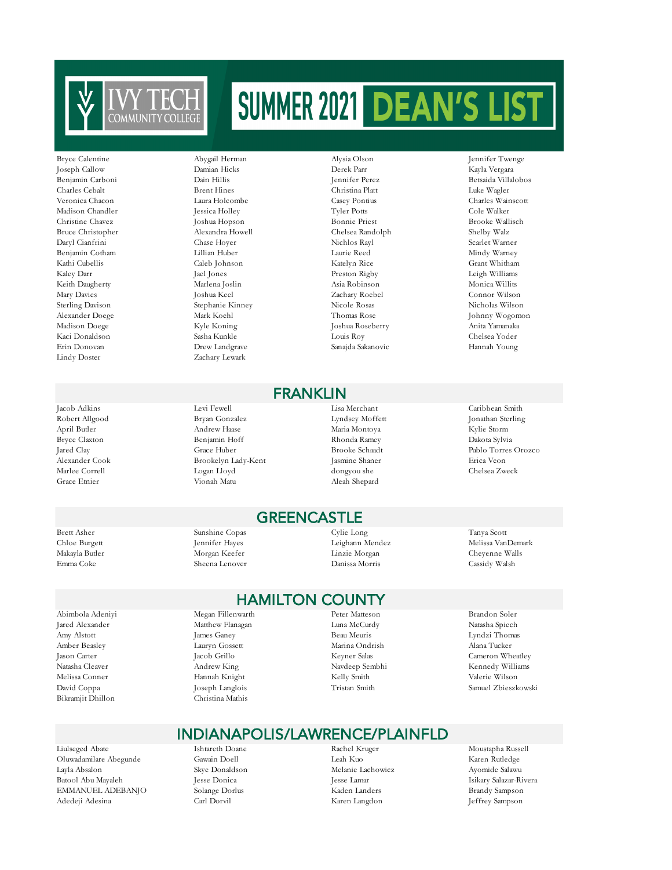

Joseph Callow Lindy Doster Zachary Lewark

Abimbola Adeniyi Megan Fillenwarth Peter Matteson Brandon Soler Bikramjit Dhillon Christina Mathis

Liulseged Abate Ishtareth Doane Rachel Kruger Moustapha Russell Oluwadamilare Abegunde Gawain Doell Leah Kuo Karen Rutledge Batool Abu Mayaleh Jesse Donica Jesse Lamar Isikary Salazar-Rivera EMMANUEL ADEBANJO Solange Dorlus Kaden Landers Brandy Sampson Adedeji Adesina Carl Dorvil Karen Langdon Jeffrey Sampson

#### Charles Cebalt Brent Hines Christina Platt Luke Wagler Veronica Chacon Laura Holcombe Casey Pontius Charles Wainscott Madison Chandler Jessica Holley Tyler Potts Cole Walker Christine Chavez Joshua Hopson Bonnie Priest Brooke Wallisch Bruce Christopher Alexandra Howell Chelsea Randolph Shelby Walz Daryl Cianfrini Chase Hoyer Nichlos Rayl Scarlet Warner Benjamin Cotham Lillian Huber Laurie Reed Mindy Warney Kathi Cubellis Caleb Johnson Katelyn Rice Grant Whitham Kaley Darr Jael Jones Preston Rigby Leigh Williams Keith Daugherty Marlena Joslin Asia Robinson Monica Willits Mary Davies Joshua Keel Zachary Roebel Connor Wilson Sterling Davison Stephanie Kinney Nicole Rosas Nicholas Wilson Madison Doege Kyle Koning Joshua Roseberry Anita Yamanaka Kaci Donaldson Sasha Kunkle Louis Roy Chelsea Yoder

## Erin Donovan Drew Landgrave Sanajda Sakanovic Hannah Young FRANKLIN

Jacob Adkins Levi Fewell Lisa Merchant Caribbean Smith Robert Allgood Bryan Gonzalez Lyndsey Moffett Jonathan Sterling April Butler Andrew Haase Maria Montoya Kylie Storm Bryce Claxton Benjamin Hoff Rhonda Ramey Dakota Sylvia Alexander Cook Brookelyn Lady-Kent Jasmine Shaner Erica Veon Marlee Correll Logan Lloyd dongyou she Chelsea Zweck Grace Etnier Vionah Matu Aleah Shepard

#### **GREENCASTLE**

Brett Asher Sunshine Copas Cylie Long Tanya Scott Chloe Burgett Jennifer Hayes Leighann Mendez Melissa VanDemark Makayla Butler Morgan Keefer Linzie Morgan Cheyenne Walls Emma Coke Sheena Lenover Danissa Morris Cassidy Walsh

### HAMILTON COUNTY

Jared Alexander Matthew Flanagan Luna McCurdy Natasha Spiech Amy Alstott James Ganey Beau Meuris Lyndzi Thomas Amber Beasley Lauryn Gossett Marina Ondrish Alana Tucker Jason Carter Jacob Grillo Keyner Salas Cameron Wheatley Natasha Cleaver Andrew King Navdeep Sembhi Kennedy Williams Melissa Conner Hannah Knight Kelly Smith Navid Coppa (Geeph Langlois Coppa (Geeph Langlois Coppa (Geeph Langlois Coppa (Geeph Langlois Coppa (Geeph Langlois Coppa (Geeph) (Geeph Langlois Coppa (Geeph) (Geeph Langlois Coppa David Coppa Joseph Langlois Tristan Smith Samuel Zbieszkowski

### INDIANAPOLIS/LAWRENCE/PLAINFLD

Melanie Lachowicz

Bryce Calentine Abygail Herman Alysia Olson Jennifer Twenge Benjamin Carboni Dain Hillis Jennifer Perez Betsaida Villalobos Alexander Doege Mark Koehl Thomas Rose Johnny Wogomon

Pablo Torres Orozco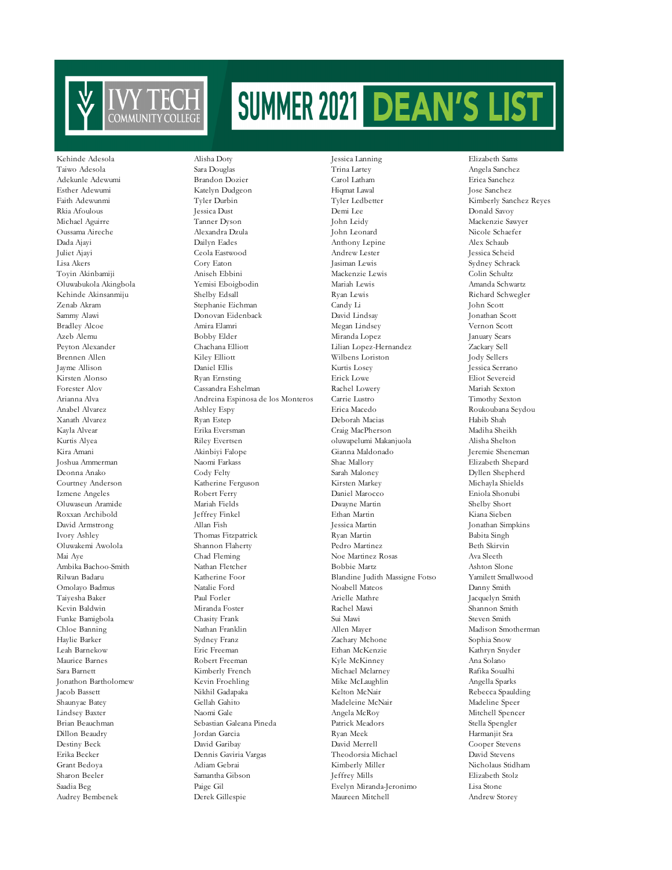

Toyin Akinbamiji Roxxan Archibold Oluwakemi Awolola Shannon Flaherty

Kehinde Adesola Alisha Doty Jessica Lanning Elizabeth Sams Taiwo Adesola Sara Douglas Trina Lartey Angela Sanchez Adekunle Adewumi Brandon Dozier Carol Latham Erica Sanchez Esther Adewumi Katelyn Dudgeon Hiqmat Lawal Jose Sanchez Faith Adewunmi Tyler Durbin Tyler Ledbetter Kimberly Sanchez Reyes Rkia Afoulous Jessica Dust Demi Lee Donald Savoy Michael Aguirre Tanner Dyson John Leidy Mackenzie Sawyer Oussama Aireche Alexandra Dzula John Leonard Nicole Schaefer Dada Ajayi Dailyn Eades Anthony Lepine Alex Schaub Juliet Ajayi Ceola Eastwood Andrew Lester Jessica Scheid Lisa Akers Cory Eaton Jasiman Lewis Sydney Schrack Oluwabukola Akingbola Yemisi Eboigbodin Mariah Lewis Amanda Schwartz Kehinde Akinsanmiju Shelby Edsall Ryan Lewis Richard Schwegler Zenab Akram Stephanie Eichman Candy Li John Scott Sammy Alawi Donovan Eidenback David Lindsay Jonathan Scott Bradley Alcoe Amira Elamri Megan Lindsey Vernon Scott Azeb Alemu Bobby Elder Miranda Lopez January Sears Peyton Alexander Chachana Elliott Lilian Lopez-Hernandez Zackary Sell Brennen Allen Kiley Elliott Wilbens Loriston Jody Sellers Jayme Allison Daniel Ellis Kurtis Losey Jessica Serrano Kirsten Alonso Ryan Ernsting Erick Lowe Eliot Severeid Forester Alov Cassandra Eshelman Rachel Lowery Mariah Sexton Arianna Alva Andreina Espinosa de los Monteros Carrie Lustro Timothy Sexton Xanath Alvarez Ryan Estep Deborah Macias Habib Shah Kayla Alvear Erika Eversman Craig MacPherson Kurtis Alyea Riley Evertsen oluwapelumi Makanjuola Alisha Shelton Kira Amani Akinbiyi Falope Gianna Maldonado Jeremie Sheneman Joshua Ammerman Naomi Farkass Shae Mallory Elizabeth Shepard Deonna Anako Cody Felty Sarah Maloney Dyllen Shepherd Courtney Anderson Katherine Ferguson Kirsten Markey Michayla Shields Izmene Angeles Robert Ferry Daniel Marocco Eniola Shonubi Oluwaseun Aramide Mariah Fields Dwayne Martin Shelby Short David Armstrong Allan Fish Jessica Martin Jonathan Simpkins Ivory Ashley Thomas Fitzpatrick Ryan Martin Babita Singh Mai Aye Chad Fleming Noe Martinez Rosas Ava Sleeth Ambika Bachoo-Smith Nathan Fletcher Bobbie Martz Ashton Slone Rilwan Badaru Katherine Foor Blandine Judith Massigne Fotso Yamilett Smallwood Blandine Judith Massigne Fotso Omolayo Badmus Natalie Ford Noabell Mateos Danny Smith Taiyesha Baker Paul Forler Arielle Mathre Jacquelyn Smith Kevin Baldwin Miranda Foster Rachel Mawi Shannon Smith Funke Bamigbola Chasity Frank Sui Mawi Steven Smith Chloe Banning Nathan Franklin Allen Mayer Madison Smotherman Haylie Barker Sydney Franz Zachary Mchone Sophia Snow Leah Barnekow Eric Freeman Ethan McKenzie Kathryn Snyder Maurice Barnes **Robert Freeman** Robert Freeman Kyle McKinney Ana Solano Sara Barnett Kimberly French Michael Mclarney Rafika Soualhi Jonathon Bartholomew Kevin Froehling Mike McLaughlin Angella Sparks Jacob Bassett Nikhil Gadapaka Kelton McNair Rebecca Spaulding Shaunyae Batey Gellah Gahito Madeleine McNair Madeline Speer Lindsey Baxter Naomi Gale Angela McRoy Mitchell Spencer Brian Beauchman Sebastian Galeana Pineda Patrick Meadors Stella Spengler Dillon Beaudry Jordan Garcia Ryan Meek Harmanjit Sra Destiny Beck David Garibay David Merrell Cooper Stevens Erika Becker Dennis Gaviria Vargas Theodorsia Michael David Stevens Grant Bedoya Adiam Gebrai Kimberly Miller Nicholaus Stidham Sharon Beeler Samantha Gibson Jeffrey Mills Saadia Beg Bills Bagger Samantha Gibson Jeffrey Mills Saadia Beg Bills Bagger Sharawan Stolz Bagger Sharawan Stolz Bagger Sharawan Sharawan Sharawan Sharawan Sharawan Sharawan Sh

Paige Gil Evelyn Miranda-Jeronimo Lisa Stone Audrey Bembenek Derek Gillespie Maureen Mitchell Andrew Storey

Roukoubana Seydou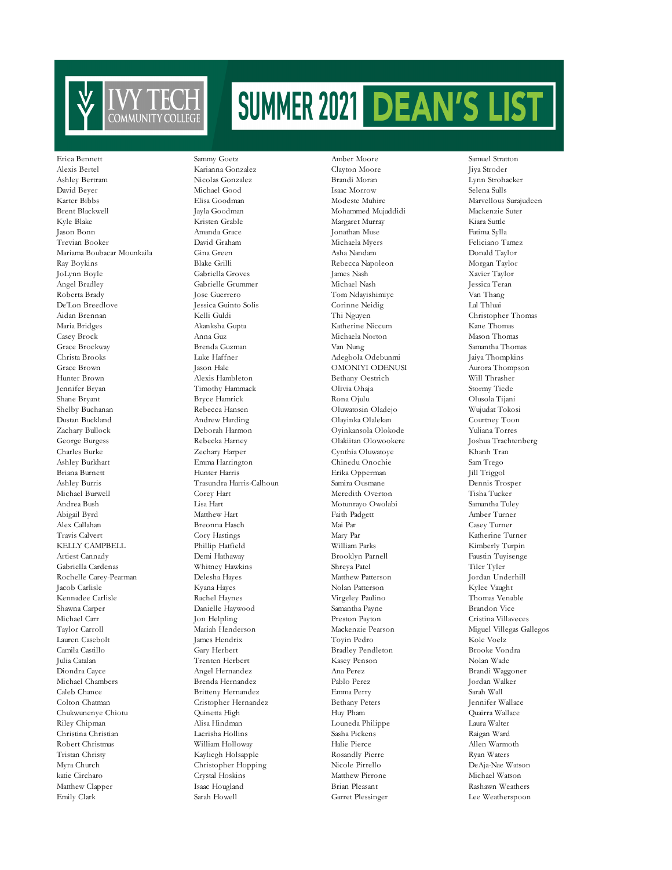

Ashley Bertram Nicolas Gonzalez Brandi Moran Lynn Strohacker David Beyer Michael Good Isaac Morrow Selena Sulls Karter Bibbs Elisa Goodman Modeste Muhire Marvellous Surajudeen Brent Blackwell Jayla Goodman Mohammed Mujaddidi Mackenzie Suter Kyle Blake Kristen Grable Margaret Murray Kiara Suttle Jason Bonn Amanda Grace Jonathan Muse Fatima Sylla Mariama Boubacar Mounkaila Gina Green Asha Nandam Donald Taylor Ray Boykins Blake Grilli Rebecca Napoleon Morgan Taylor Angel Bradley Gabrielle Grummer Michael Nash Jessica Teran Roberta Brady Jose Guerrero Tom Ndayishimiye De'Lon Breedlove Jessica Guinto Solis Corinne Neidig Lal Thluai Aidan Brennan Kelli Guldi Thi Nguyen Christopher Thomas Maria Bridges Akanksha Gupta Katherine Niccum Casey Brock Anna Guz Michaela Norton Mason Thomas Grace Brockway Brenda Guzman Van Nung Samantha Thomas Christa Brooks Luke Haffner Adegbola Odebunmi Jaiya Thompkins Grace Brown Jason Hale OMONIYI ODENUSI Aurora Thompson Hunter Brown Alexis Hambleton Bethany Oestrich Will Thrasher Jennifer Bryan Timothy Hammack Olivia Ohaja Stormy Tiede Shane Bryant Bryce Hamrick Rona Ojulu Olusola Tijani Dustan Buckland Andrew Harding Olayinka Olalekan Courtney Toon Zachary Bullock Deborah Harmon Oyinkansola Olokode Yuliana Torres George Burgess Rebecka Harney Olakiitan Olowookere Joshua Trachtenberg Charles Burke Zechary Harper Cynthia Oluwatoye Khanh Tran Ashley Burkhart Emma Harrington Chinedu Onochie Sam Trego Briana Burnett Hunter Harris Erika Opperman Jill Triggol Ashley Burris Trasundra Harris-Calhoun Samira Ousmane Dennis Trosper Michael Burwell Corey Hart Meredith Overton Tisha Tucker Andrea Bush Lisa Hart Motunrayo Owolabi Samantha Tuley Abigail Byrd Matthew Hart Faith Padgett Amber Turner Alex Callahan Breonna Hasch Mai Par Casey Turner Travis Calvert Cory Hastings Mary Par Katherine Turner KELLY CAMPBELL Phillip Hatfield Artiest Cannady Demi Hathaway Brooklyn Parnell Faustin Tuyisenge Gabriella Cardenas Whitney Hawkins Shreya Patel Tiler Tyler Rochelle Carey-Pearman Delesha Hayes Matthew Patterson Jordan Underhill Jacob Carlisle Kyana Hayes Nolan Patterson Kylee Vaught Kennadee Carlisle **Rachel Haynes** Virgeley Paulino Thomas Venable Shawna Carper Danielle Haywood Samantha Payne Brandon Vice Michael Carr Jon Helpling Preston Payton Cristina Villaveces Taylor Carroll Mariah Henderson Mackenzie Pearson Miguel Villegas Gallegos Lauren Casebolt James Hendrix Toyin Pedro Kole Voelz Kole Voelz<br>Camila Castillo Carv Herbert Bradlev Pendleton Brooke Vondra Camila Castillo Gary Herbert Bradley Pendleton Bradley Pendleton Julia Catalan Trenten Herbert Kasey Penson Nolan Wade Diondra Cayce Angel Hernandez Michael Chambers Brenda Hernandez Pablo Perez Jordan Walker Caleb Chance Britteny Hernandez Emma Perry Sarah Wall Colton Chatman Cristopher Hernandez Bethany Peters Jennifer Wallace Chukwunenye Chiotu Quinetta High Huy Pham Quairra Wallace Riley Chipman Alisa Hindman Louneda Philippe Laura Walter Christina Christian Lacrisha Hollins Sasha Pickens Raigan Ward Robert Christmas William Holloway Halie Pierce Allen Warmoth Tristan Christy Kayliegh Holsapple Rosandly Pierre Ryan Waters Myra Church Christopher Hopping Nicole Pirrello DeAja-Nae Watson katie Circharo Crystal Hoskins Matthew Pirrone Michael Watson Matthew Clapper Isaac Hougland Brian Pleasant Rashawn Weathers Emily Clark Sarah Howell Garret Plessinger Lee Weatherspoon

Alexis Bertel Karianna Gonzalez Clayton Moore Jiya Stroder Gabriella Groves

Erica Bennett Sammy Goetz Amber Moore Samuel Stratton Oluwatosin Oladejo

Feliciano Tamez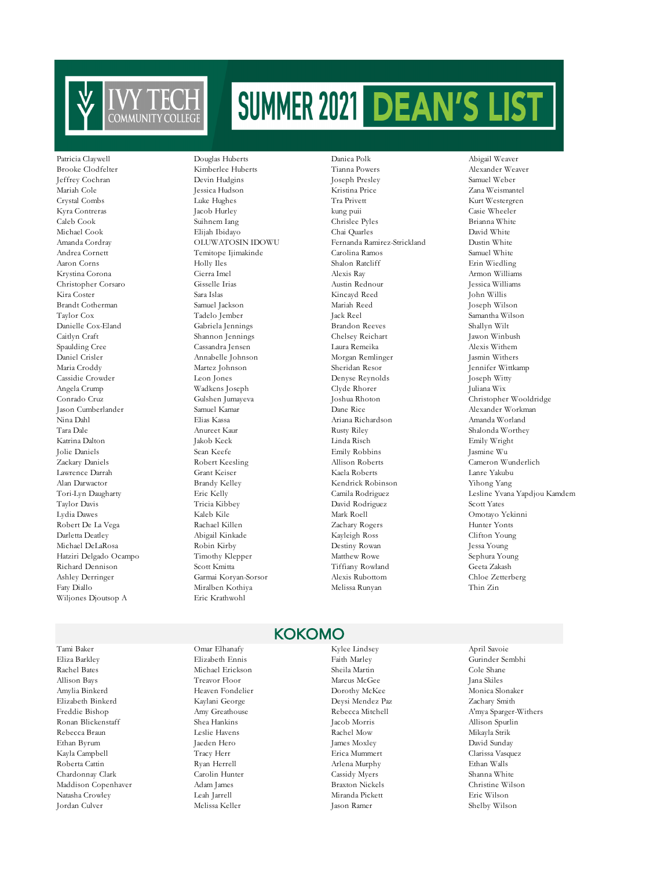

Darletta Deatley Abigail Kinkade Kayleigh Ross Clifton Young Michael DeLaRosa Robin Kirby Destiny Rowan Jessa Young Hatziri Delgado Ocampo Timothy Klepper Matthew Rowe Sephura Young Richard Dennison Scott Kmitta Tiffiany Rowland Geeta Zakash Ashley Derringer Garmai Koryan-Sorsor Alexis Rubottom Chloe Zetterberg Faty Diallo Miralben Kothiya Melissa Runyan Thin Zin Wiljones Djoutsop A Eric Krathwohl

Eliza Barkley Elizabeth Ennis Faith Marley Gurinder Sembhi Rachel Bates Michael Erickson Sheila Martin Cole Shane Allison Bays Treavor Floor Marcus McGee Jana Skiles Amylia Binkerd Heaven Fondelier Dorothy McKee Monica Slonaker Elizabeth Binkerd Kaylani George Deysi Mendez Paz Zachary Smith Ronan Blickenstaff Shea Hankins Jacob Morris Allison Spurlin Rebecca Braun Leslie Havens Rachel Mow Mikayla Strik Ethan Byrum Jaeden Hero James Moxley David Sunday Kayla Campbell Tracy Herr Erica Mummert Clarissa Vasquez Roberta Cattin Ryan Herrell Arlena Murphy Ethan Walls Chardonnay Clark Carolin Hunter Cassidy Myers Shanna White Maddison Copenhaver Adam James Braxton Nickels Christine Wilson Natasha Crowley Leah Jarrell Miranda Pickett Eric Wilson Jordan Culver Melissa Keller Jason Ramer Shelby Wilson

#### Jeffrey Cochran Devin Hudgins Joseph Presley Samuel Weber Mariah Cole Jessica Hudson Kristina Price Zana Weismantel Crystal Combs Luke Hughes Tra Privett Kurt Westergren Kyra Contreras Jacob Hurley kung puii Casie Wheeler Caleb Cook Suihnem Iang Chrislee Pyles Brianna White Michael Cook Elijah Ibidayo Chai Quarles David White Amanda Cordray OLUWATOSIN IDOWU Fernanda Ramirez-Strickland Dustin White Andrea Cornett Temitope Ijimakinde Carolina Ramos Samuel White Aaron Corns Holly Iles Shalon Ratcliff Erin Wiedling Krystina Corona Cierra Imel Alexis Ray Armon Williams Christopher Corsaro Gisselle Irias Austin Rednour Jessica Williams Kira Coster Sara Islas Kincayd Reed John Willis Brandt Cotherman Samuel Jackson Mariah Reed Joseph Wilson Taylor Cox Tadelo Jember Jack Reel Samantha Wilson Gabriela Jennings Brandon Reeves Shallyn Wilt Caitlyn Craft Shannon Jennings Chelsey Reichart Jawon Winbush Spaulding Cree Cassandra Jensen Laura Remeika Alexis Withem Daniel Crisler Annabelle Johnson Morgan Remlinger Jasmin Withers Maria Croddy Martez Johnson Sheridan Resor Jennifer Wittkamp Cassidie Crowder Leon Jones Denyse Reynolds Joseph Witty Angela Crump Wadkens Joseph Clyde Rhorer Juliana Wix Conrado Cruz Gulshen Jumayeva Joshua Rhoton Christopher Wooldridge Nina Dahl Elias Kassa Ariana Richardson Amanda Worland Tara Dale Anureet Kaur Rusty Riley Shalonda Worthey Katrina Dalton Jakob Keck Linda Risch Emily Wright Jolie Daniels Sean Keefe Emily Robbins Jasmine Wu Zackary Daniels Robert Keesling Allison Roberts Cameron Wunderlich Lawrence Darrah Grant Keiser Kaela Roberts Lanre Yakubu Alan Darwactor Brandy Kelley Kendrick Robinson Yihong Yang Taylor Davis Tricia Kibbey David Rodriguez Scott Yates Robert De La Vega Rachael Killen Zachary Rogers Hunter Yonts

Brooke Clodfelter Kimberlee Huberts Tianna Powers Alexander Weaver

#### KOKOMO

## Tami Baker Omar Elhanafy Kylee Lindsey April Savoie

Patricia Claywell Douglas Huberts Danica Polk Abigail Weaver Alexander Workman Tori-Lyn Daugharty Eric Kelly Camila Rodriguez Lesline Yvana Yapdjou Kamdem Omotayo Yekinni

Freddie Bishop Amy Greathouse Rebecca Mitchell A'mya Sparger-Withers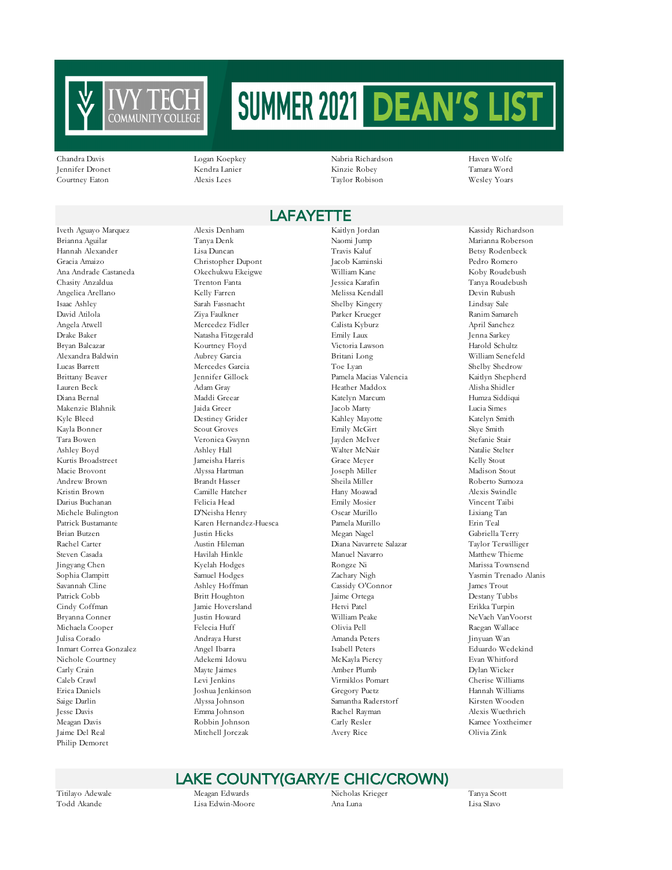

Chandra Davis Logan Koepkey Nabria Richardson Haven Wolfe Jennifer Dronet Kendra Lanier Kinzie Robey Tamara Word Courtney Eaton Alexis Lees Taylor Robison Wesley Yoars

## **LAFAYETTE**

Brianna Aguilar Tanya Denk Naomi Jump Marianna Roberson Hannah Alexander Lisa Duncan Travis Kaluf Betsy Rodenbeck Gracia Amaizo Christopher Dupont Jacob Kaminski Pedro Romero Ana Andrade Castaneda Okechukwu Ekeigwe William Kane Koby Roudebush Chasity Anzaldua Trenton Fanta Jessica Karafin Tanya Roudebush Angelica Arellano Kelly Farren Melissa Kendall Devin Rubush Isaac Ashley Sarah Fassnacht Shelby Kingery Lindsay Sale David Atilola Ziya Faulkner Parker Krueger Ranim Samareh Angela Atwell Mercedez Fidler Calista Kyburz April Sanchez Drake Baker Natasha Fitzgerald Emily Laux Jenna Sarkey Bryan Balcazar Kourtney Floyd Victoria Lawson Harold Schultz Alexandra Baldwin Aubrey Garcia Britani Long William Senefeld Lucas Barrett Mercedes Garcia Toe Lyan Shelby Shedrow Brittany Beaver Jennifer Gillock Pamela Macias Valencia Kaitlyn Shepherd Lauren Beck Adam Gray Heather Maddox Alisha Shidler Diana Bernal Maddi Greear Katelyn Marcum Humza Siddiqui Makenzie Blahnik Jaida Greer Jacob Marty Lucia Simes Kyle Bleed Destiney Grider Kahley Mayotte Katelyn Smith Kayla Bonner Scout Groves Emily McGirt Skye Smith Tara Bowen Veronica Gwynn Jayden McIver Stefanie Stair Ashley Boyd Ashley Hall Walter McNair Natalie Stelter Kurtis Broadstreet Jameisha Harris Grace Meyer Kelly Stout Macie Brovont Alyssa Hartman Joseph Miller Madison Stout Andrew Brown Brandt Hasser Sheila Miller Roberto Sumoza Kristin Brown Camille Hatcher Hany Moawad Alexis Swindle Darius Buchanan Felicia Head Emily Mosier Vincent Taibi Michele Bulington D'Neisha Henry Oscar Murillo Lixiang Tan Patrick Bustamante Karen Hernandez-Huesca Pamela Murillo Erin Teal Brian Butzen Justin Hicks Megan Nagel Gabriella Terry Rachel Carter Austin Hileman Diana Navarrete Salazar Taylor Terwilliger Steven Casada Havilah Hinkle Manuel Navarro Matthew Thieme Jingyang Chen Kyelah Hodges Rongze Ni Marissa Townsend Sophia Clampitt Samuel Hodges Zachary Nigh Yasmin Trenado Alanis<br>Savannah Cline Ashlev Hoffman Cassidy O'Connor James Trout Patrick Cobb Britt Houghton Jaime Ortega Destany Tubbs Cindy Coffman Jamie Hoversland Hetvi Patel Hetvi Patel Erikka Turpin Bryanna Conner Justin Howard William Peake NeVaeh VanVoorst Michaela Cooper Felecia Huff Olivia Pell Raegan Wallace Julisa Corado Andraya Hurst Amanda Peters Jinyuan Wan Inmart Correa Gonzalez Angel Ibarra Isabell Peters Eduardo Wedekind Nichole Courtney Adekemi Idowu McKayla Piercy Evan Whitford Carly Crain and Dylan Mayte Jaimes Amber Plumb Amber Plumb Dylan Wicker Caleb Crawl Levi Jenkins Virmiklos Pomart Cherise Williams Saige Darlin Alyssa Johnson Samantha Raderstorf Kirsten Wooden Jesse Davis Emma Johnson Rachel Rayman Alexis Wuethrich Meagan Davis Robbin Johnson Carly Resler Kamee Yoxtheimer Jaime Del Real Mitchell Jorczak Avery Rice Olivia Zink Philip Demoret

Iveth Aguayo Marquez Alexis Denham Kaitlyn Jordan Kassidy Richardson Joshua Jenkinson

Cassidy O'Connor

## LAKE COUNTY(GARY/E CHIC/CROWN)

Titilayo Adewale Meagan Edwards Nicholas Krieger Tanya Scott Todd Akande Lisa Edwin-Moore Ana Luna Lisa Slavo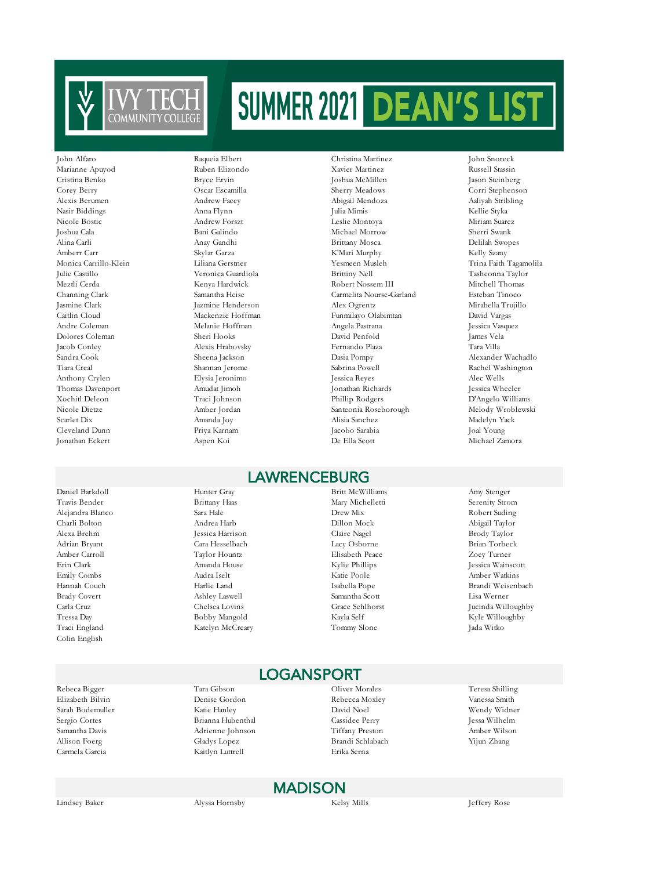

Anthony Crylen Elysia Jeronimo

Daniel Barkdoll Hunter Gray Britt McWilliams Amy Stenger Colin English

Veronica Guardiola

John Alfaro Raqueia Elbert Christina Martinez John Snoreck Marianne Apuyod Ruben Elizondo Xavier Martinez Russell Stassin Cristina Benko Bryce Ervin Joshua McMillen Jason Steinberg Corey Berry Oscar Escamilla Sherry Meadows Corri Stephenson Alexis Berumen Andrew Facey Abigail Mendoza Aaliyah Stribling Nasir Biddings Anna Flynn Julia Mimis Kellie Styka Nicole Bostic Andrew Forszt Leslie Montoya Miriam Suarez Joshua Cala Bani Galindo Michael Morrow Sherri Swank Alina Carli Anay Gandhi Brittany Mosca Delilah Swopes Amberr Carr Skylar Garza K'Mari Murphy Kelly Szany Monica Carrillo-Klein Liliana Gerstner Yesmeen Musleh Trina Faith Tagamolila Meztli Cerda Kenya Hardwick Robert Nossem III Mitchell Thomas Channing Clark Samantha Heise Carmelita Nourse-Garland Esteban Tinoco Jasmine Clark Jazmine Henderson Alex Ogrentz Mirabella Trujillo Caitlin Cloud Mackenzie Hoffman Funmilayo Olabimtan David Vargas Andre Coleman Melanie Hoffman Angela Pastrana Jessica Vasquez Dolores Coleman Sheri Hooks David Penfold James Vela Jacob Conley Alexis Hrabovsky Fernando Plaza Tara Villa Sandra Cook Sheena Jackson Dasia Pompy Alexander Wachadlo Tiara Creal Shannan Jerome Sabrina Powell Rachel Washington Thomas Davenport Amudat Jimoh Jonathan Richards Jessica Wheeler Xochitl Deleon Traci Johnson Phillip Rodgers D'Angelo Williams<br>Nicole Dietze Amber Jordan Santeonia Roseborough Melody Wroblewski Santeonia Roseborough Scarlet Dix Amanda Joy Alisia Sanchez Madelyn Yack Cleveland Dunn Priya Karnam Jacobo Sarabia Joal Young Jonathan Eckert Aspen Koi De Ella Scott Michael Zamora

## LAWRENCEBURG

Travis Bender Brittany Haas Mary Michelletti Serenity Strom Alejandra Blanco Sara Hale Drew Mix Robert Suding Charli Bolton Andrea Harb Dillon Mock Abigail Taylor Alexa Brehm Jessica Harrison Claire Nagel Brody Taylor Adrian Bryant Cara Hesselbach Lacy Osborne Brian Torbeck Amber Carroll Taylor Hountz Elisabeth Peace Zoey Turner Emily Combs Audra Iselt Katie Poole Amber Watkins Brady Covert Ashley Laswell Samantha Scott Lisa Werner Traci England Katelyn McCreary Tommy Slone Jada Witko

## Erin Clark Amanda House Kylie Phillips Jessica Wainscott Hannah Couch Harlie Land Isabella Pope Brandi Weisenbach Carla Cruz Chelsea Lovins Grace Sehlhorst Jucinda Willoughby Tressa Day Bobby Mangold Kayla Self Kyle Willoughby

Sarah Bodemuller Katie Hanley David Noel Wendy Widner Sergio Cortes Brianna Hubenthal Samantha Davis Adrienne Johnson Tiffany Preston Amber Wilson Allison Foerg Gladys Lopez Brandi Schlabach Yijun Zhang Carmela Garcia Kaitlyn Luttrell Erika Serna

#### Rebeca Bigger Tara Gibson Oliver Morales Teresa Shilling Elizabeth Bilvin Denise Gordon Rebecca Moxley Vanessa Smith LOGANSPORT

MADISON

Lindsey Baker Alyssa Hornsby Kelsy Mills Jeffery Rose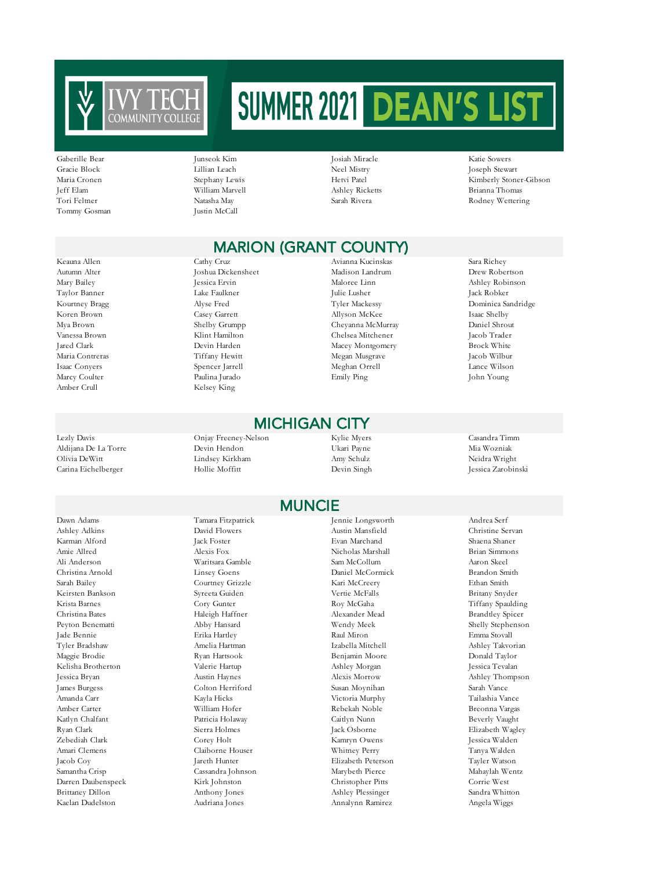

Tommy Gosman Justin McCall

Gaberille Bear Junseok Kim Josiah Miracle Katie Sowers Gracie Block Lillian Leach Neel Mistry Joseph Stewart Maria Cronen Stephany Lewis Hetvi Patel Kimberly Stoner-Gibson Jeff Elam William Marvell Ashley Ricketts Brianna Thomas Tori Feltner **Natasha May Natasha May Sarah Rivera** Sarah Rivera Rodney Wettering

## MARION (GRANT COUNTY)

Amber Crull Kelsey King

Lezly Davis Onjay Freeney-Nelson Kylie Myers Casandra Timm Aldijana De La Torre Devin Hendon Ukari Payne Mia Wozniak Olivia DeWitt Lindsey Kirkham Amy Schulz Neidra Wright Carina Eichelberger Hollie Moffitt Devin Singh Jessica Zarobinski

Dawn Adams Tamara Fitzpatrick Jennie Longsworth Andrea Serf Ashley Adkins David Flowers Austin Mansfield Christine Servan Amie Allred Alexis Fox Nicholas Marshall Brian Simmons Christina Arnold Linsey Goens Daniel McCormick Brandon Smith Sarah Bailey Courtney Grizzle Kari McCreery Ethan Smith Keirsten Bankson Syreeta Guiden Vertie McFalls Britany Snyder Krista Barnes Cory Gunter Cory Gunter Roy McGaha Tiffany Spaulding Christina Bates **Haleigh Haffner** Alexander Mead Brandtley Spicer Peyton Benematti Abby Hansard Wendy Meek Shelly Stephenson Tyler Bradshaw Amelia Hartman Izabella Mitchell Ashley Takvorian Kelisha Brotherton Valerie Hartup Ashley Morgan Jessica Tevalan Jessica Bryan Austin Haynes Alexis Morrow Ashley Thompson Amanda Carr Kayla Hicks Victoria Murphy Tailashia Vance Katlyn Chalfant Patricia Holaway Caitlyn Nunn Beverly Vaught Ryan Clark Sierra Holmes Jack Osborne Elizabeth Wagley Amari Clemens Claiborne Houser Whitney Perry Tanya Walden Jacob Coy Jareth Hunter Elizabeth Peterson Samantha Crisp Cassandra Johnson Marybeth Pierce Mahaylah Wentz Darren Daubenspeck Kirk Johnston Christopher Pitts Christopher Pitts Brittaney Dillon Anthony Jones Ashley Plessinger Sandra Whitton

Autumn Alter **Ioshua Dickensheet** Madison Landrum Drew Robertson Landrum Robertson Robertson Landrum **Drew Roberts** 

Keauna Allen Cathy Cruz Avianna Kucinskas Sara Richey Mary Bailey **Malore** Jessica Ervin Maloree Linn Maloree Linn Ashley Robinson Taylor Banner Lake Faulkner Julie Lusher Jack Robker Kourtney Bragg Alyse Fred Tyler Mackessy Dominica Sandridge Koren Brown Casey Garrett Allyson McKee Isaac Shelby Mya Brown Shelby Grumpp Cheyanna McMurray Daniel Shrout Vanessa Brown Klint Hamilton Chelsea Mitchener Jacob Trader Jared Clark Devin Harden Macey Montgomery Maria Contreras Tiffany Hewitt Megan Musgrave Jacob Wilbur Isaac Conyers Spencer Jarrell Meghan Orrell Lance Wilson Marcy Coulter Paulina Jurado Emily Ping John Young

#### MICHIGAN CITY

#### MUNCIE

Karman Alford Jack Foster Evan Marchand Shaena Shaner Ali Anderson Waritsara Gamble Sam McCollum Aaron Skeel Jade Bennie Erika Hartley Raul Miron Emma Stovall Maggie Brodie Ryan Hartsook Benjamin Moore Donald Taylor James Burgess Colton Herriford Susan Moynihan Sarah Vance Amber Carter William Hofer Rebekah Noble Breonna Vargas Zebediah Clark Corey Holt Kamryn Owens Jessica Walden

Kaelan Dudelston Audriana Jones Annalynn Ramirez Angela Wiggs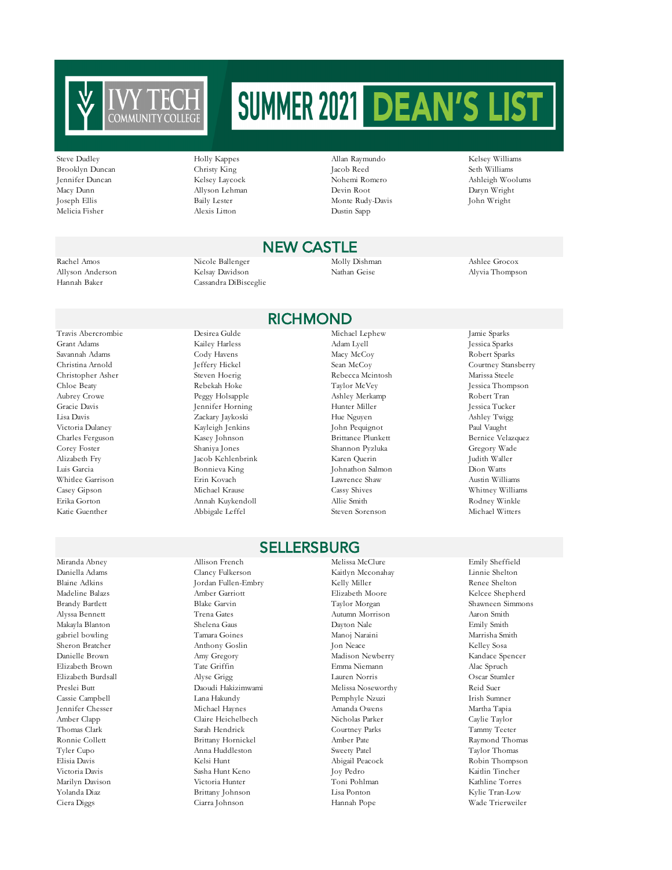

Brooklyn Duncan Christy King Jacob Reed Melicia Fisher Alexis Litton Dustin Sapp

Steve Dudley Holly Kappes Allan Raymundo Kelsey Williams Jennifer Duncan Kelsey Laycock Nohemi Romero Ashleigh Woolums Macy Dunn Allyson Lehman Devin Root Daryn Wright Joseph Ellis Baily Lester Monte Rudy-Davis John Wright

#### NEW CASTLE

Rachel Amos Nicole Ballenger Molly Dishman Ashlee Grocox Allyson Anderson Kelsay Davidson Nathan Geise Alyvia Thompson Hannah Baker Cassandra DiBisceglie

#### RICHMOND

Grant Adams Kailey Harless Adam Lyell Jessica Sparks Alizabeth Fry Jacob Kehlenbrink Karen Querin

Savannah Adams Cody Havens Macy McCoy Robert Sparks Christopher Asher Steven Hoerig Rebecca Mcintosh Marissa Steele<br>Chloe Beaty Rebekah Hoke Taylor McVey Jessica Thom Aubrey Crowe Peggy Holsapple Ashley Merkamp Robert Tran Gracie Davis Fennifer Horning Hunter Miller Hunter Miller Jessica Tucker Lisa Davis Zackary Jaykoski Hue Nguyen Ashley Twigg Victoria Dulaney Kayleigh Jenkins John Pequignot Paul Vaught Charles Ferguson Kasey Johnson Brittanee Plunkett Bernice Velazquez Corey Foster Shaniya Jones Shannon Pyzluka Gregory Wade Luis Garcia Bonnieva King Johnathon Salmon Dion Watts Whitlee Garrison Erin Kovach Lawrence Shaw Austin Williams Katie Guenther Abbigale Leffel Steven Sorenson Michael Witters

#### **SELLERSBURG**

Daniella Adams Clancy Fulkerson Kaitlyn Mcconahay Linnie Shelton Blaine Adkins **Fullen-Embry** Kelly Miller **Kelly Miller** Renee Shelton Madeline Balazs Amber Garriott Elizabeth Moore Kelcee Shepherd Brandy Bartlett Blake Garvin Taylor Morgan Shawneen Simmons Alyssa Bennett Trena Gates Autumn Morrison Aaron Smith Makayla Blanton Shelena Gaus Dayton Nale Emily Smith gabriel bowling Tamara Goines Manoj Naraini Marrisha Smith Sheron Bratcher Anthony Goslin Jon Neace Kelley Sosa Danielle Brown Amy Gregory Madison Newberry Kandace Spencer Elizabeth Brown Tate Griffin Emma Niemann Alac Spruch Elizabeth Burdsall Alyse Grigg Lauren Norris Oscar Stumler Preslei Butt Daoudi Hakizimwami Melissa Noseworthy Nelssa Noseworthy Cassie Campbell Lana Hakundy Pemphyle Nzuzi Irish Sumner Jennifer Chesser Michael Haynes Amanda Owens Martha Tapia Amber Clapp Claire Heichelbech Nicholas Parker Caylie Taylor Thomas Clark Sarah Hendrick Courtney Parks Tammy Teeter Ronnie Collett **Brittany Hornickel** Amber Pate Amber Pate Raymond Thomas Tyler Cupo Anna Huddleston Sweety Patel Taylor Thomas Victoria Davis Sasha Hunt Keno Joy Pedro Kaitlin Tincher Marilyn Davison Victoria Hunter Toni Pohlman Kathline Torres Yolanda Diaz Brittany Johnson Lisa Ponton Kylie Tran-Low Ciera Diggs Ciarra Johnson Hannah Pope Wade Trierweiler

Miranda Abney Allison French Melissa McClure Emily Sheffield

Travis Abercrombie Desirea Gulde Michael Lephew Jamie Sparks Christina Arnold Jeffery Hickel Sean McCoy Courtney Stansberry<br>Christopher Asher Steven Hoerig Rebecca Mcintosh Marissa Steele Jessica Thompson

Robin Thompson

#### Casey Gipson Michael Krause Cassy Shives Whitney Williams Erika Gorton Annah Kuykendoll Allie Smith Rodney Winkle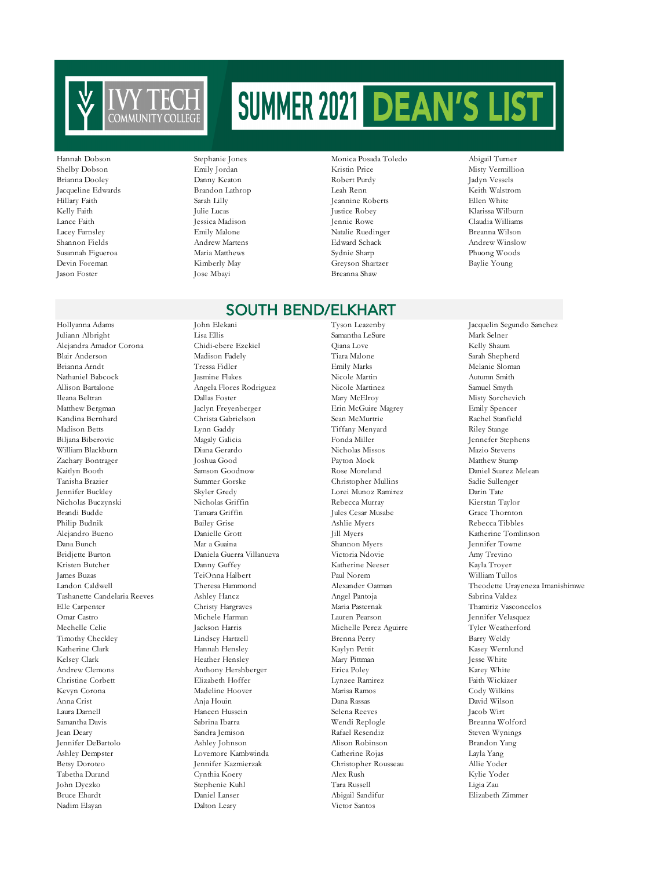

# Hillary Faith Sarah Lilly Sarah Lilly Jeannine Roberts

#### Hannah Dobson Stephanie Jones Monica Posada Toledo Abigail Turner Shelby Dobson Emily Jordan Kristin Price Misty Vermillion Brianna Dooley Danny Keaton Robert Purdy Jadyn Vessels Jacqueline Edwards Brandon Lathrop Leah Renn Keith Walstrom Kelly Faith Julie Lucas Justice Robey Klarissa Wilburn Lance Faith Jessica Madison Jennie Rowe Claudia Williams Emily Malone (Natalie Ruedinger Reanna Wilson) (Natalie Ruedinger Breanna Wilson<br>Shannon Fields (Natalie Andrew Martens ) (Natalie Ruedinger Redward Schack (Natalie Ruedinger ) (Natalie Ruedi Shannon Fields Andrew Martens Edward Schack Andrew Winslow Susannah Figueroa Maria Matthews Sydnie Sharp Phuong Woods Devin Foreman Kimberly May Greyson Shartzer Baylie Young Breanna Shaw

#### SOUTH BEND/ELKHART

Juliann Albright Lisa Ellis Samantha LeSure Mark Selner Alejandra Amador Corona Chidi-ebere Ezekiel Qiana Love Kelly Shaum Blair Anderson Madison Fadely Tiara Malone Sarah Shepherd Brianna Arndt Tressa Fidler Emily Marks Melanie Sloman Nathaniel Babcock Jasmine Flakes Nicole Martin Autumn Smith Allison Bartalone Angela Flores Rodriguez Nicole Martinez Samuel Smyth Ileana Beltran Dallas Foster Mary McElroy Misty Sorchevich Matthew Bergman Jaclyn Freyenberger Erin McGuire Magrey Emily Spencer Kandina Bernhard Christa Gabrielson Sean McMurtrie Rachel Stanfield Madison Betts Lynn Gaddy Tiffany Menyard Riley Stange Biljana Biberovic Magaly Galicia Fonda Miller Jennefer Stephens William Blackburn Diana Gerardo Nicholas Missos Mazio Stevens Zachary Bontrager Joshua Good Payton Mock Matthew Stump Kaitlyn Booth Samson Goodnow Rose Moreland Daniel Suarez Melean Tanisha Brazier Summer Gorske Christopher Mullins Sadie Sullenger Jennifer Buckley Skyler Gredy Lorei Munoz Ramirez Darin Tate Nicholas Buczynski Nicholas Griffin Rebecca Murray Kierstan Taylor Brandi Budde Tamara Griffin Jules Cesar Musabe Grace Thornton Philip Budnik Bailey Grise Ashlie Myers Rebecca Tibbles Alejandro Bueno Danielle Grott Jill Myers Katherine Tomlinson Dana Bunch Mar a Guaina Shannon Myers Jennifer Towne Kristen Butcher Danny Guffey Katherine Neeser Kayla Troyer James Buzas TeiOnna Halbert Paul Norem William Tullos Tashanette Candelaria Reeves Ashley Hancz Angel Pantoja Sabrina Valdez Elle Carpenter Christy Hargraves Maria Pasternak Thamiriz Vasconcelos Mechelle Celie Jackson Harris Michelle Perez Aguirre Tyler Weatherford Timothy Checkley Lindsey Hartzell Brenna Perry Barry Weldy Katherine Clark Hannah Hensley Kaylyn Pettit Kasey Wernlund Kelsey Clark **Heather Hensley Mary Pittman** Jesse White **Mary Pittman** Jesse White Andrew Clemons Anthony Hershberger Erica Poley Karey White Christine Corbett Elizabeth Hoffer Lynzee Ramirez Faith Wickizer Kevyn Corona Madeline Hoover Anna Crist Anja Houin Dana Rassas David Wilson Laura Darnell Haneen Hussein Selena Reeves Jacob Wirt Samantha Davis Sabrina Ibarra Negri Sabrina Ibarra Negri Alexandr Breanna Wolford Jean Deary Sandra Jemison Rafael Resendiz Steven Wynings Jennifer DeBartolo Ashley Johnson Alison Robinson Brandon Yang Ashley Dempster Lovemore Kambwinda Catherine Rojas Layla Yang Betsy Doroteo Jennifer Kazmierzak Christopher Rousseau Allie Yoder Tabetha Durand Cynthia Koery Alex Rush Alex Rush Kylie Yoder<br>1991 - Tara Russell Alex Rush Kylie Yoder Stephenie Kuhl (Rush Tara Russell Alex Alex Rush Kylie Yoder John Dyczko Stephenie Kuhl Tara Russell Ligia Zau Bruce Ehardt Daniel Lanser Abigail Sandifur Elizabeth Zimmer Nadim Elayan Dalton Leary Victor Santos

Daniela Guerra Villanueva Michele Harman Lauren Pearson Jennifer Velasquez

Hollyanna Adams John Elekani Tyson Leazenby Jacquelin Segundo Sanchez Landon Caldwell Theresa Hammond Alexander Oatman Theodette Urayeneza Imanishimwe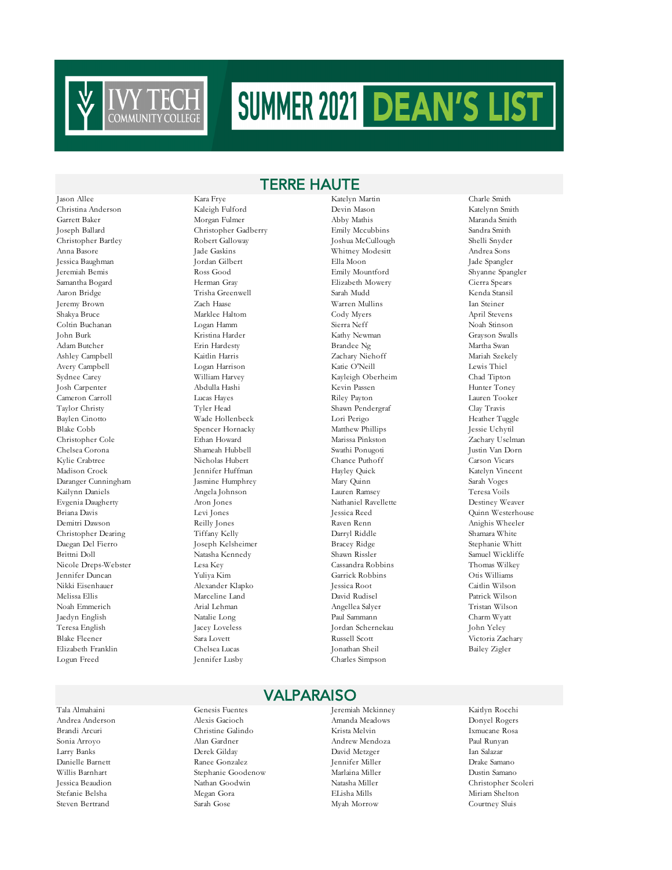

TERRE HAUTE

Christina Anderson Kaleigh Fulford Devin Mason Katelynn Smith Garrett Baker Morgan Fulmer Abby Mathis Maranda Smith Joseph Ballard Christopher Gadberry Emily Mccubbins Sandra Smith Christopher Bartley Robert Galloway Joshua McCullough Shelli Snyder Anna Basore Jade Gaskins Whitney Modesitt Andrea Sons Jessica Baughman Jordan Gilbert Ella Moon Jade Spangler Jeremiah Bemis Ross Good Emily Mountford Shyanne Spangler Samantha Bogard Herman Gray Elizabeth Mowery Cierra Spears Aaron Bridge Trisha Greenwell Sarah Mudd Kenda Stansil Jeremy Brown Zach Haase Warren Mullins Ian Steiner Shakya Bruce Marklee Haltom Cody Myers April Stevens Coltin Buchanan Logan Hamm Sierra Neff Noah Stinson John Burk Kristina Harder Kathy Newman Grayson Swalls Adam Butcher Erin Hardesty Brandee Ng Martha Swan Ashley Campbell Kaitlin Harris Zachary Niehoff Mariah Szekely Avery Campbell Logan Harrison Katie O'Neill Lewis Thiel Sydnee Carey William Harvey Kayleigh Oberheim Chad Tipton Josh Carpenter Abdulla Hashi Kevin Passen Hunter Toney Cameron Carroll Lucas Hayes Riley Payton Lauren Tooker Taylor Christy Tyler Head Shawn Pendergraf Clay Travis Baylen Cinotto Wade Hollenbeck Lori Perigo Blake Cobb Spencer Hornacky Matthew Phillips Jessie Uchytil Christopher Cole Ethan Howard Marissa Pinkston Zachary Uselman Chelsea Corona Shameah Hubbell Kylie Crabtree Nicholas Hubert Chance Puthoff Carson Vicars Madison Crock Jennifer Huffman Hayley Quick Katelyn Vincent Daranger Cunningham Jasmine Humphrey Mary Quinn Sarah Voges Kailynn Daniels Angela Johnson Lauren Ramsey Teresa Voils Evgenia Daugherty Aron Jones Nathaniel Ravellette Destiney Weaver Briana Davis Levi Jones Jessica Reed Quinn Westerhouse Demitri Dawson Reilly Jones Raven Renn Anighis Wheeler Christopher Dearing Tiffany Kelly Darryl Riddle Shamara White Daegan Del Fierro Joseph Kelsheimer Bracey Ridge Stephanie Whitt Nicole Dreps-Webster Lesa Key Cassandra Robbins Thomas Wilkey Jennifer Duncan Yuliya Kim Garrick Robbins Otis Williams Melissa Ellis Marceline Land David Rudisel Patrick Wilson Noah Emmerich Arial Lehman Angellea Salyer Tristan Wilson Jaedyn English Natalie Long Paul Sammann Charm Wyatt Teresa English Jacey Loveless Jordan Schernekau John Yeley Blake Fleener Sara Lovett Russell Scott Victoria Zachary Elizabeth Franklin Chelsea Lucas Jonathan Sheil Bailey Zigler Logun Freed Jennifer Lusby Charles Simpson

Jason Allee Kara Frye Katelyn Martin Charle Smith Natasha Kennedy Alexander Klapko

#### VALPARAISO

Tala Almahaini Genesis Fuentes Jeremiah Mckinney Kaitlyn Rocchi Andrea Anderson Alexis Gacioch Amanda Meadows Donyel Rogers Brandi Arcuri Christine Galindo Krista Melvin Ixmucane Rosa Sonia Arroyo Alan Gardner Andrew Mendoza Paul Runyan

Larry Banks Derek Gilday David Metzger Ian Salazar Danielle Barnett Ranee Gonzalez Jennifer Miller Drake Samano Stephanie Goodenow Marlaina Miller Dustin Samano Jessica Beaudion Nathan Goodwin Natasha Miller Christopher Scoleri Stefanie Belsha Megan Gora ELisha Mills Miriam Shelton Steven Bertrand Sarah Gose Myah Morrow Courtney Sluis